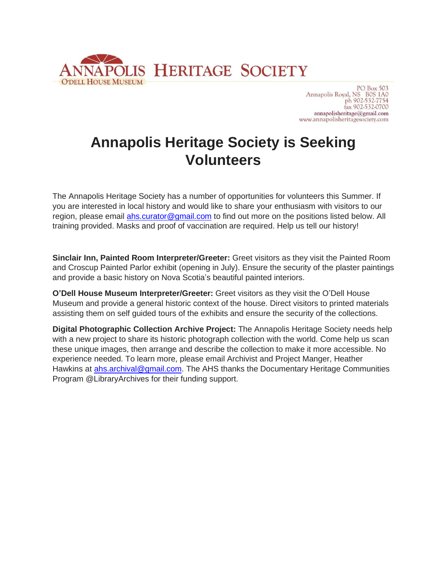

PO Box 503 Annapolis Royal, NS B0S 1A0 ph 902-532-7754 fax 902-532-0700 annapolisheritage@gmail.com www.annapolisheritagesociety.com

## **Annapolis Heritage Society is Seeking Volunteers**

The Annapolis Heritage Society has a number of opportunities for volunteers this Summer. If you are interested in local history and would like to share your enthusiasm with visitors to our region, please email [ahs.curator@gmail.com](mailto:ahs.curator@gmail.com) to find out more on the positions listed below. All training provided. Masks and proof of vaccination are required. Help us tell our history!

**Sinclair Inn, Painted Room Interpreter/Greeter:** Greet visitors as they visit the Painted Room and Croscup Painted Parlor exhibit (opening in July). Ensure the security of the plaster paintings and provide a basic history on Nova Scotia's beautiful painted interiors.

**O'Dell House Museum Interpreter/Greeter:** Greet visitors as they visit the O'Dell House Museum and provide a general historic context of the house. Direct visitors to printed materials assisting them on self guided tours of the exhibits and ensure the security of the collections.

**Digital Photographic Collection Archive Project:** The Annapolis Heritage Society needs help with a new project to share its historic photograph collection with the world. Come help us scan these unique images, then arrange and describe the collection to make it more accessible. No experience needed. To learn more, please email Archivist and Project Manger, Heather Hawkins at [ahs.archival@gmail.com.](mailto:ahs.archival@gmail.com) The AHS thanks the Documentary Heritage Communities Program @LibraryArchives for their funding support.